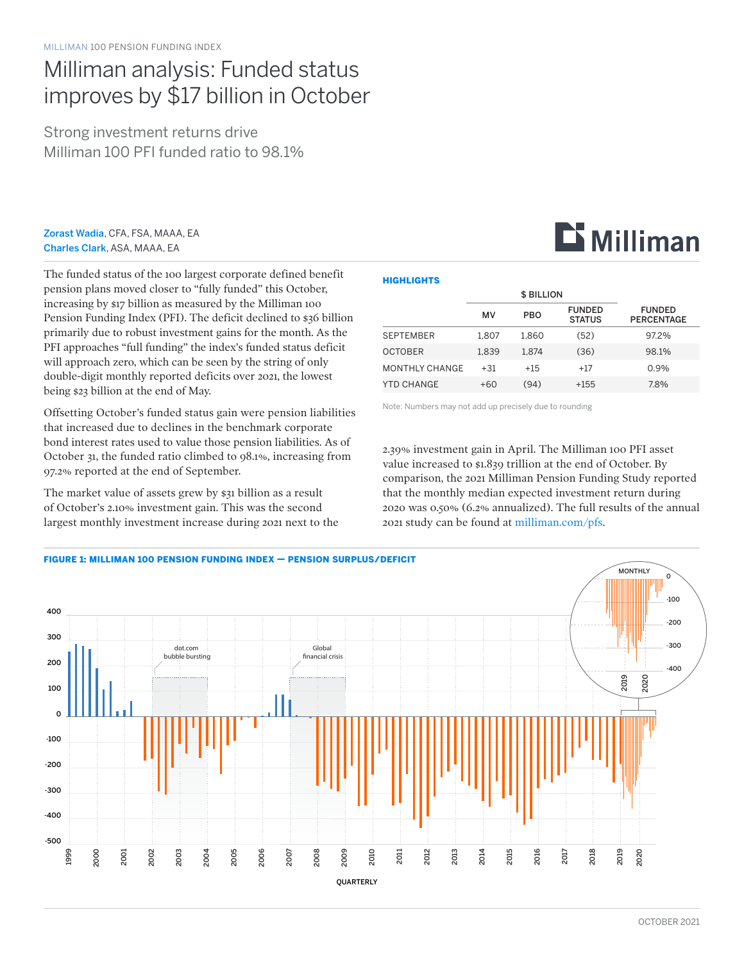## Milliman analysis: Funded status improves by \$17 billion in October

Strong investment returns drive Milliman 100 PFI funded ratio to 98.1%

Zorast Wadia, CFA, FSA, MAAA, EA Charles Clark, ASA, MAAA, EA

The funded status of the 100 largest corporate defined benefit pension plans moved closer to "fully funded" this October, increasing by \$17 billion as measured by the Milliman 100 Pension Funding Index (PFI). The deficit declined to \$36 billion primarily due to robust investment gains for the month. As the PFI approaches "full funding" the index's funded status deficit will approach zero, which can be seen by the string of only double-digit monthly reported deficits over 2021, the lowest being \$23 billion at the end of May.

Offsetting October's funded status gain were pension liabilities that increased due to declines in the benchmark corporate bond interest rates used to value those pension liabilities. As of October 31, the funded ratio climbed to 98.1%, increasing from 97.2% reported at the end of September.

The market value of assets grew by \$31 billion as a result of October's 2.10% investment gain. This was the second largest monthly investment increase during 2021 next to the

#### **HIGHLIGHTS**

|                       | <b>\$ BILLION</b> |            |                                |                                    |  |
|-----------------------|-------------------|------------|--------------------------------|------------------------------------|--|
|                       | MV                | <b>PBO</b> | <b>FUNDED</b><br><b>STATUS</b> | <b>FUNDED</b><br><b>PERCENTAGE</b> |  |
| <b>SEPTEMBER</b>      | 1.807             | 1.860      | (52)                           | 97.2%                              |  |
| <b>OCTOBER</b>        | 1.839             | 1.874      | (36)                           | 98.1%                              |  |
| <b>MONTHLY CHANGE</b> | $+31$             | $+15$      | $+17$                          | 0.9%                               |  |
| YTD CHANGE            | $+60$             | (94)       | $+155$                         | 7.8%                               |  |

Note: Numbers may not add up precisely due to rounding

2.39% investment gain in April. The Milliman 100 PFI asset value increased to \$1.839 trillion at the end of October. By comparison, the 2021 Milliman Pension Funding Study reported that the monthly median expected investment return during 2020 was 0.50% (6.2% annualized). The full results of the annual 2021 study can be found at [milliman.com/pfs](http://milliman.com/pfs).



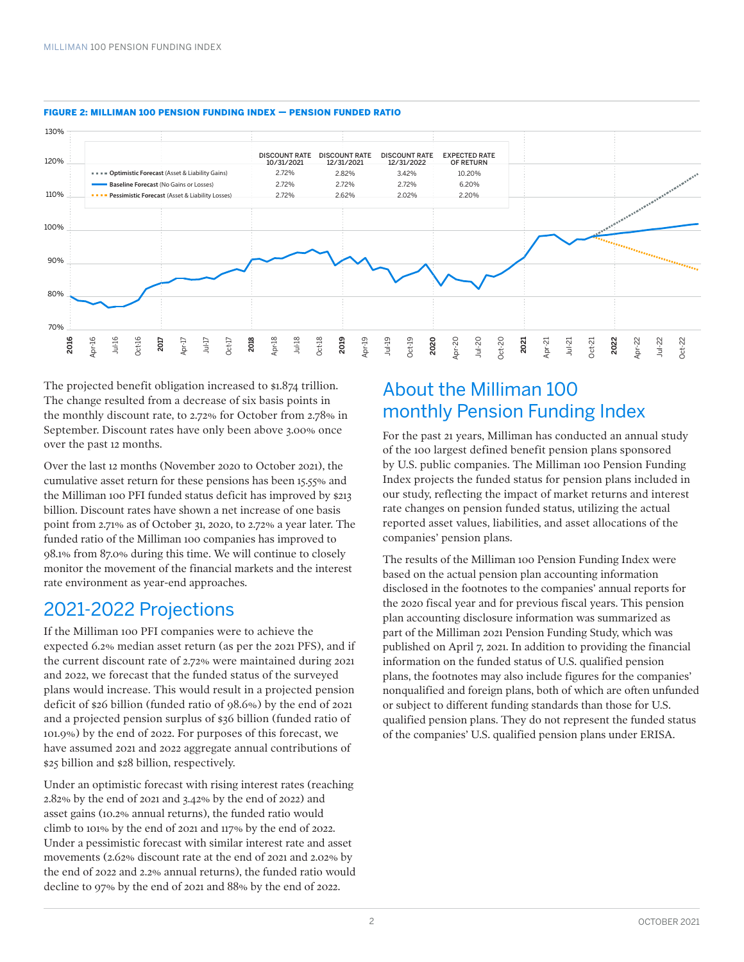

#### FIGURE 2: MILLIMAN 100 PENSION FUNDING INDEX — PENSION FUNDED RATIO

The projected benefit obligation increased to \$1.874 trillion. The change resulted from a decrease of six basis points in the monthly discount rate, to 2.72% for October from 2.78% in September. Discount rates have only been above 3.00% once over the past 12 months.

Over the last 12 months (November 2020 to October 2021), the cumulative asset return for these pensions has been 15.55% and the Milliman 100 PFI funded status deficit has improved by \$213 billion. Discount rates have shown a net increase of one basis point from 2.71% as of October 31, 2020, to 2.72% a year later. The funded ratio of the Milliman 100 companies has improved to 98.1% from 87.0% during this time. We will continue to closely monitor the movement of the financial markets and the interest rate environment as year-end approaches.

### 2021-2022 Projections

If the Milliman 100 PFI companies were to achieve the expected 6.2% median asset return (as per the 2021 PFS), and if the current discount rate of 2.72% were maintained during 2021 and 2022, we forecast that the funded status of the surveyed plans would increase. This would result in a projected pension deficit of \$26 billion (funded ratio of 98.6%) by the end of 2021 and a projected pension surplus of \$36 billion (funded ratio of 101.9%) by the end of 2022. For purposes of this forecast, we have assumed 2021 and 2022 aggregate annual contributions of \$25 billion and \$28 billion, respectively.

Under an optimistic forecast with rising interest rates (reaching 2.82% by the end of 2021 and 3.42% by the end of 2022) and asset gains (10.2% annual returns), the funded ratio would climb to 101% by the end of 2021 and 117% by the end of 2022. Under a pessimistic forecast with similar interest rate and asset movements (2.62% discount rate at the end of 2021 and 2.02% by the end of 2022 and 2.2% annual returns), the funded ratio would decline to 97% by the end of 2021 and 88% by the end of 2022.

## About the Milliman 100 monthly Pension Funding Index

For the past 21 years, Milliman has conducted an annual study of the 100 largest defined benefit pension plans sponsored by U.S. public companies. The Milliman 100 Pension Funding Index projects the funded status for pension plans included in our study, reflecting the impact of market returns and interest rate changes on pension funded status, utilizing the actual reported asset values, liabilities, and asset allocations of the companies' pension plans.

The results of the Milliman 100 Pension Funding Index were based on the actual pension plan accounting information disclosed in the footnotes to the companies' annual reports for the 2020 fiscal year and for previous fiscal years. This pension plan accounting disclosure information was summarized as part of the Milliman 2021 Pension Funding Study, which was published on April 7, 2021. In addition to providing the financial information on the funded status of U.S. qualified pension plans, the footnotes may also include figures for the companies' nonqualified and foreign plans, both of which are often unfunded or subject to different funding standards than those for U.S. qualified pension plans. They do not represent the funded status of the companies' U.S. qualified pension plans under ERISA.